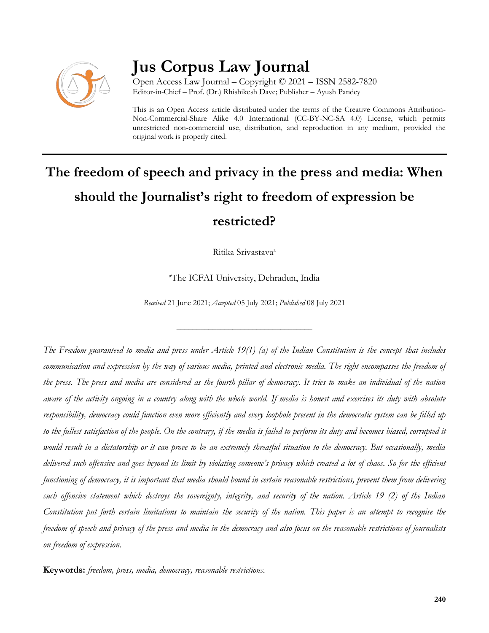

# **Jus Corpus Law Journal**

Open Access Law Journal – Copyright © 2021 – ISSN 2582-7820 Editor-in-Chief – Prof. (Dr.) Rhishikesh Dave; Publisher – Ayush Pandey

This is an Open Access article distributed under the terms of the Creative Commons Attribution-Non-Commercial-Share Alike 4.0 International (CC-BY-NC-SA 4.0) License, which permits unrestricted non-commercial use, distribution, and reproduction in any medium, provided the original work is properly cited.

# **The freedom of speech and privacy in the press and media: When should the Journalist's right to freedom of expression be restricted?**

Ritika Srivastava<sup>a</sup>

<sup>a</sup>The ICFAI University, Dehradun, India

*Received* 21 June 2021; *Accepted* 05 July 2021; *Published* 08 July 2021

\_\_\_\_\_\_\_\_\_\_\_\_\_\_\_\_\_\_\_\_\_\_\_\_\_\_\_\_\_\_\_\_\_\_

*The Freedom guaranteed to media and press under Article 19(1) (a) of the Indian Constitution is the concept that includes communication and expression by the way of various media, printed and electronic media. The right encompasses the freedom of the press. The press and media are considered as the fourth pillar of democracy. It tries to make an individual of the nation aware of the activity ongoing in a country along with the whole world. If media is honest and exercises its duty with absolute responsibility, democracy could function even more efficiently and every loophole present in the democratic system can be filled up to the fullest satisfaction of the people. On the contrary, if the media is failed to perform its duty and becomes biased, corrupted it would result in a dictatorship or it can prove to be an extremely threatful situation to the democracy. But occasionally, media delivered such offensive and goes beyond its limit by violating someone's privacy which created a lot of chaos. So for the efficient functioning of democracy, it is important that media should bound in certain reasonable restrictions, prevent them from delivering such offensive statement which destroys the sovereignty, integrity, and security of the nation. Article 19 (2) of the Indian Constitution put forth certain limitations to maintain the security of the nation. This paper is an attempt to recognise the freedom of speech and privacy of the press and media in the democracy and also focus on the reasonable restrictions of journalists on freedom of expression.*

**Keywords:** *freedom, press, media, democracy, reasonable restrictions.*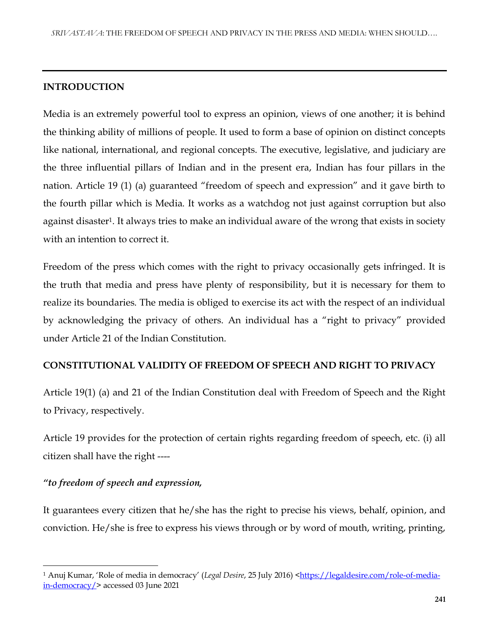# **INTRODUCTION**

Media is an extremely powerful tool to express an opinion, views of one another; it is behind the thinking ability of millions of people. It used to form a base of opinion on distinct concepts like national, international, and regional concepts. The executive, legislative, and judiciary are the three influential pillars of Indian and in the present era, Indian has four pillars in the nation. Article 19 (1) (a) guaranteed "freedom of speech and expression" and it gave birth to the fourth pillar which is Media. It works as a watchdog not just against corruption but also against disaster<sup>1</sup>. It always tries to make an individual aware of the wrong that exists in society with an intention to correct it.

Freedom of the press which comes with the right to privacy occasionally gets infringed. It is the truth that media and press have plenty of responsibility, but it is necessary for them to realize its boundaries. The media is obliged to exercise its act with the respect of an individual by acknowledging the privacy of others. An individual has a "right to privacy" provided under Article 21 of the Indian Constitution.

# **CONSTITUTIONAL VALIDITY OF FREEDOM OF SPEECH AND RIGHT TO PRIVACY**

Article 19(1) (a) and 21 of the Indian Constitution deal with Freedom of Speech and the Right to Privacy, respectively.

Article 19 provides for the protection of certain rights regarding freedom of speech, etc. (i) all citizen shall have the right ----

# *"to freedom of speech and expression,*

 $\overline{\phantom{a}}$ 

It guarantees every citizen that he/she has the right to precise his views, behalf, opinion, and conviction. He/she is free to express his views through or by word of mouth, writing, printing,

<sup>&</sup>lt;sup>1</sup> Anuj Kumar, 'Role of media in democracy' (*Legal Desire*, 25 July 2016) [<https://legaldesire.com/role-of-media](https://legaldesire.com/role-of-media-in-democracy/)[in-democracy/>](https://legaldesire.com/role-of-media-in-democracy/) accessed 03 June 2021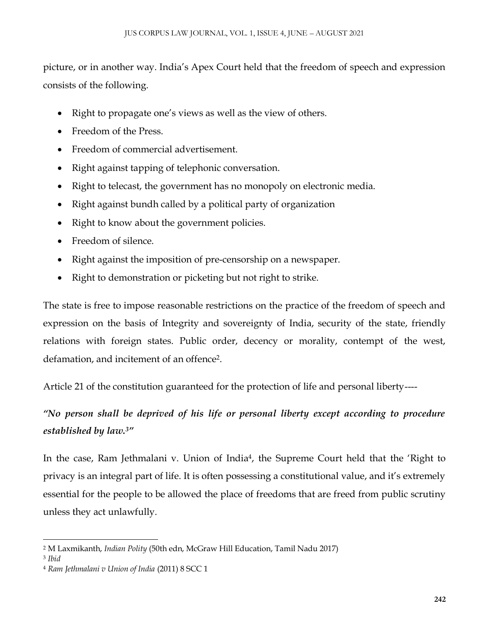picture, or in another way. India's Apex Court held that the freedom of speech and expression consists of the following.

- Right to propagate one's views as well as the view of others.
- Freedom of the Press.
- Freedom of commercial advertisement.
- Right against tapping of telephonic conversation.
- Right to telecast, the government has no monopoly on electronic media.
- Right against bundh called by a political party of organization
- Right to know about the government policies.
- Freedom of silence.
- Right against the imposition of pre-censorship on a newspaper.
- Right to demonstration or picketing but not right to strike.

The state is free to impose reasonable restrictions on the practice of the freedom of speech and expression on the basis of Integrity and sovereignty of India, security of the state, friendly relations with foreign states. Public order, decency or morality, contempt of the west, defamation, and incitement of an offence<sup>2</sup>.

Article 21 of the constitution guaranteed for the protection of life and personal liberty----

# *"No person shall be deprived of his life or personal liberty except according to procedure established by law.<sup>3</sup>"*

In the case, Ram Jethmalani v. Union of India<sup>4</sup>, the Supreme Court held that the 'Right to privacy is an integral part of life. It is often possessing a constitutional value, and it's extremely essential for the people to be allowed the place of freedoms that are freed from public scrutiny unless they act unlawfully.

 $\overline{\phantom{a}}$ <sup>2</sup> M Laxmikanth, *Indian Polity* (50th edn, McGraw Hill Education, Tamil Nadu 2017)

<sup>3</sup> *Ibid*

<sup>4</sup> *Ram Jethmalani v Union of India* (2011) 8 SCC 1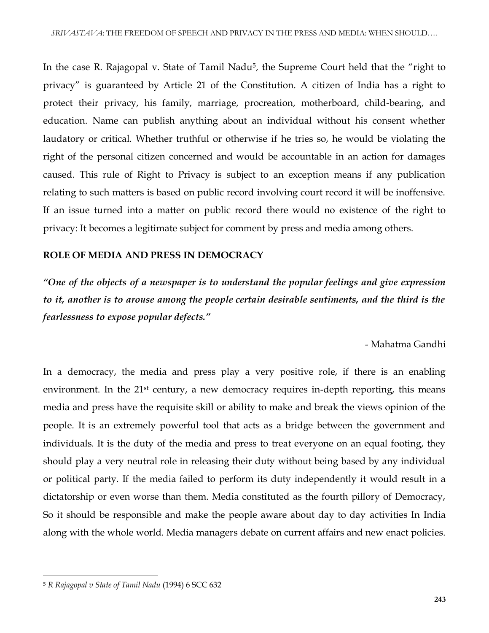In the case R. Rajagopal v. State of Tamil Nadu<sup>5</sup>, the Supreme Court held that the "right to privacy" is guaranteed by Article 21 of the Constitution. A citizen of India has a right to protect their privacy, his family, marriage, procreation, motherboard, child-bearing, and education. Name can publish anything about an individual without his consent whether laudatory or critical. Whether truthful or otherwise if he tries so, he would be violating the right of the personal citizen concerned and would be accountable in an action for damages caused. This rule of Right to Privacy is subject to an exception means if any publication relating to such matters is based on public record involving court record it will be inoffensive. If an issue turned into a matter on public record there would no existence of the right to privacy: It becomes a legitimate subject for comment by press and media among others.

# **ROLE OF MEDIA AND PRESS IN DEMOCRACY**

*"One of the objects of a newspaper is to understand the popular feelings and give expression to it, another is to arouse among the people certain desirable sentiments, and the third is the fearlessness to expose popular defects."*

- Mahatma Gandhi

In a democracy, the media and press play a very positive role, if there is an enabling environment. In the 21<sup>st</sup> century, a new democracy requires in-depth reporting, this means media and press have the requisite skill or ability to make and break the views opinion of the people. It is an extremely powerful tool that acts as a bridge between the government and individuals. It is the duty of the media and press to treat everyone on an equal footing, they should play a very neutral role in releasing their duty without being based by any individual or political party. If the media failed to perform its duty independently it would result in a dictatorship or even worse than them. Media constituted as the fourth pillory of Democracy, So it should be responsible and make the people aware about day to day activities In India along with the whole world. Media managers debate on current affairs and new enact policies.

<sup>5</sup> *R Rajagopal v State of Tamil Nadu* (1994) 6 SCC 632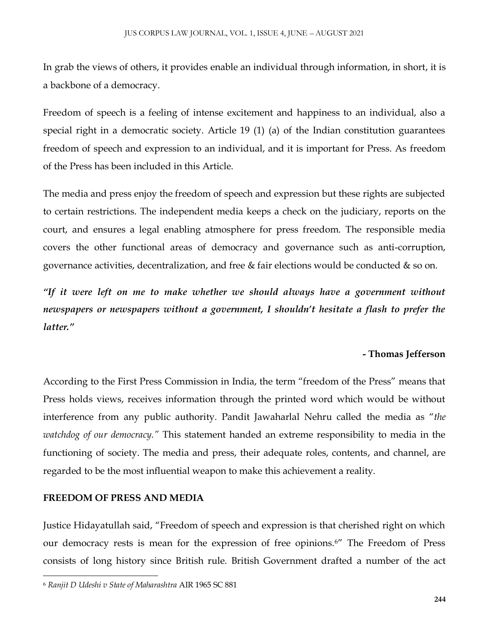In grab the views of others, it provides enable an individual through information, in short, it is a backbone of a democracy.

Freedom of speech is a feeling of intense excitement and happiness to an individual, also a special right in a democratic society. Article 19 (1) (a) of the Indian constitution guarantees freedom of speech and expression to an individual, and it is important for Press. As freedom of the Press has been included in this Article.

The media and press enjoy the freedom of speech and expression but these rights are subjected to certain restrictions. The independent media keeps a check on the judiciary, reports on the court, and ensures a legal enabling atmosphere for press freedom. The responsible media covers the other functional areas of democracy and governance such as anti-corruption, governance activities, decentralization, and free  $\&$  fair elections would be conducted  $\&$  so on.

*"If it were left on me to make whether we should always have a government without newspapers or newspapers without a government, I shouldn't hesitate a flash to prefer the latter."*

# **- Thomas Jefferson**

According to the First Press Commission in India, the term "freedom of the Press" means that Press holds views, receives information through the printed word which would be without interference from any public authority. Pandit Jawaharlal Nehru called the media as "*the watchdog of our democracy."* This statement handed an extreme responsibility to media in the functioning of society. The media and press, their adequate roles, contents, and channel, are regarded to be the most influential weapon to make this achievement a reality.

#### **FREEDOM OF PRESS AND MEDIA**

 $\overline{\phantom{a}}$ 

Justice Hidayatullah said, "Freedom of speech and expression is that cherished right on which our democracy rests is mean for the expression of free opinions.<sup>6"</sup> The Freedom of Press consists of long history since British rule. British Government drafted a number of the act

<sup>6</sup> *Ranjit D Udeshi v State of Maharashtra* AIR 1965 SC 881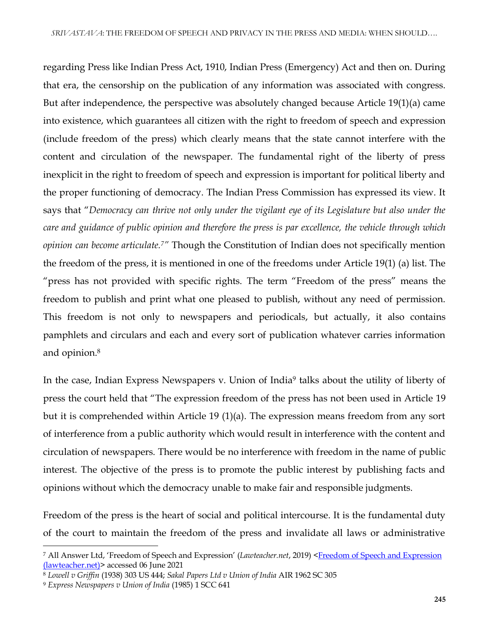regarding Press like Indian Press Act, 1910, Indian Press (Emergency) Act and then on. During that era, the censorship on the publication of any information was associated with congress. But after independence, the perspective was absolutely changed because Article 19(1)(a) came into existence, which guarantees all citizen with the right to freedom of speech and expression (include freedom of the press) which clearly means that the state cannot interfere with the content and circulation of the newspaper. The fundamental right of the liberty of press inexplicit in the right to freedom of speech and expression is important for political liberty and the proper functioning of democracy. The Indian Press Commission has expressed its view. It says that "*Democracy can thrive not only under the vigilant eye of its Legislature but also under the care and guidance of public opinion and therefore the press is par excellence, the vehicle through which opinion can become articulate.7"* Though the Constitution of Indian does not specifically mention the freedom of the press, it is mentioned in one of the freedoms under Article 19(1) (a) list. The "press has not provided with specific rights. The term "Freedom of the press" means the freedom to publish and print what one pleased to publish, without any need of permission. This freedom is not only to newspapers and periodicals, but actually, it also contains pamphlets and circulars and each and every sort of publication whatever carries information and opinion.<sup>8</sup>

In the case, Indian Express Newspapers v. Union of India<sup>9</sup> talks about the utility of liberty of press the court held that "The expression freedom of the press has not been used in Article 19 but it is comprehended within Article 19 (1)(a). The expression means freedom from any sort of interference from a public authority which would result in interference with the content and circulation of newspapers. There would be no interference with freedom in the name of public interest. The objective of the press is to promote the public interest by publishing facts and opinions without which the democracy unable to make fair and responsible judgments.

Freedom of the press is the heart of social and political intercourse. It is the fundamental duty of the court to maintain the freedom of the press and invalidate all laws or administrative

<sup>7</sup> All Answer Ltd, 'Freedom of Speech and Expression' (*Lawteacher.net*, 2019) [<Freedom of Speech and Expression](https://www.lawteacher.net/free-law-essays/constitutional-law/freedom-of-speech-and-expression-constitutional-law-essay.php)  [\(lawteacher.net\)>](https://www.lawteacher.net/free-law-essays/constitutional-law/freedom-of-speech-and-expression-constitutional-law-essay.php) accessed 06 June 2021

<sup>8</sup> *Lowell v Griffin* (1938) 303 US 444; *Sakal Papers Ltd v Union of India* AIR 1962 SC 305

<sup>9</sup> *Express Newspapers v Union of India* (1985) 1 SCC 641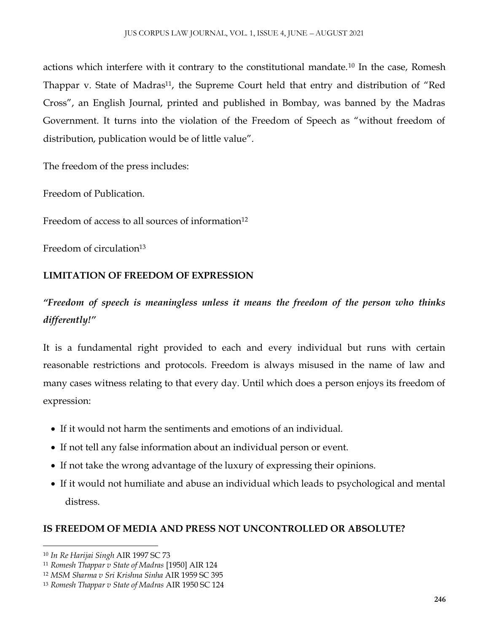actions which interfere with it contrary to the constitutional mandate.<sup>10</sup> In the case, Romesh Thappar v. State of Madras<sup>11</sup>, the Supreme Court held that entry and distribution of "Red Cross", an English Journal, printed and published in Bombay, was banned by the Madras Government. It turns into the violation of the Freedom of Speech as "without freedom of distribution, publication would be of little value".

The freedom of the press includes:

Freedom of Publication.

Freedom of access to all sources of information $12$ 

Freedom of circulation<sup>13</sup>

# **LIMITATION OF FREEDOM OF EXPRESSION**

*"Freedom of speech is meaningless unless it means the freedom of the person who thinks differently!"*

It is a fundamental right provided to each and every individual but runs with certain reasonable restrictions and protocols. Freedom is always misused in the name of law and many cases witness relating to that every day. Until which does a person enjoys its freedom of expression:

- If it would not harm the sentiments and emotions of an individual.
- If not tell any false information about an individual person or event.
- If not take the wrong advantage of the luxury of expressing their opinions.
- If it would not humiliate and abuse an individual which leads to psychological and mental distress.

# **IS FREEDOM OF MEDIA AND PRESS NOT UNCONTROLLED OR ABSOLUTE?**

 $\overline{\phantom{a}}$ <sup>10</sup> *In Re Harijai Singh* AIR 1997 SC 73

<sup>11</sup> *Romesh Thappar v State of Madras* [1950] AIR 124

<sup>12</sup> *MSM Sharma v Sri Krishna Sinha* AIR 1959 SC 395

<sup>13</sup> *Romesh Thappar v State of Madras* AIR 1950 SC 124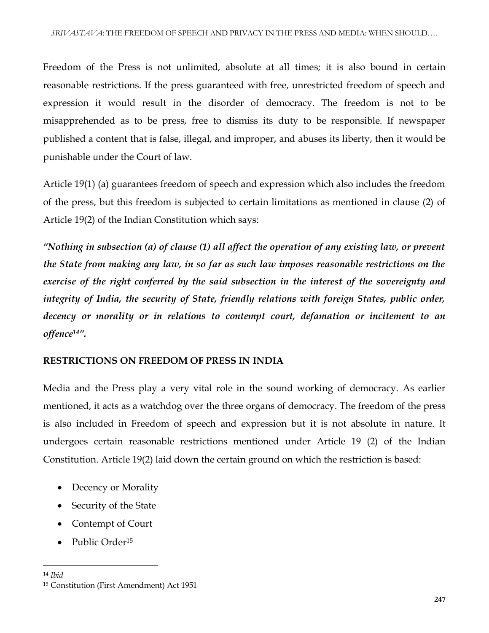Freedom of the Press is not unlimited, absolute at all times; it is also bound in certain reasonable restrictions. If the press guaranteed with free, unrestricted freedom of speech and expression it would result in the disorder of democracy. The freedom is not to be misapprehended as to be press, free to dismiss its duty to be responsible. If newspaper published a content that is false, illegal, and improper, and abuses its liberty, then it would be punishable under the Court of law.

Article 19(1) (a) guarantees freedom of speech and expression which also includes the freedom of the press, but this freedom is subjected to certain limitations as mentioned in clause (2) of Article 19(2) of the Indian Constitution which says:

*"Nothing in subsection (a) of clause (1) all affect the operation of any existing law, or prevent the State from making any law, in so far as such law imposes reasonable restrictions on the exercise of the right conferred by the said subsection in the interest of the sovereignty and integrity of India, the security of State, friendly relations with foreign States, public order, decency or morality or in relations to contempt court, defamation or incitement to an offence14".*

# **RESTRICTIONS ON FREEDOM OF PRESS IN INDIA**

Media and the Press play a very vital role in the sound working of democracy. As earlier mentioned, it acts as a watchdog over the three organs of democracy. The freedom of the press is also included in Freedom of speech and expression but it is not absolute in nature. It undergoes certain reasonable restrictions mentioned under Article 19 (2) of the Indian Constitution. Article 19(2) laid down the certain ground on which the restriction is based:

- Decency or Morality
- Security of the State
- Contempt of Court
- Public Order<sup>15</sup>

<sup>14</sup> *Ibid*

<sup>15</sup> Constitution (First Amendment) Act 1951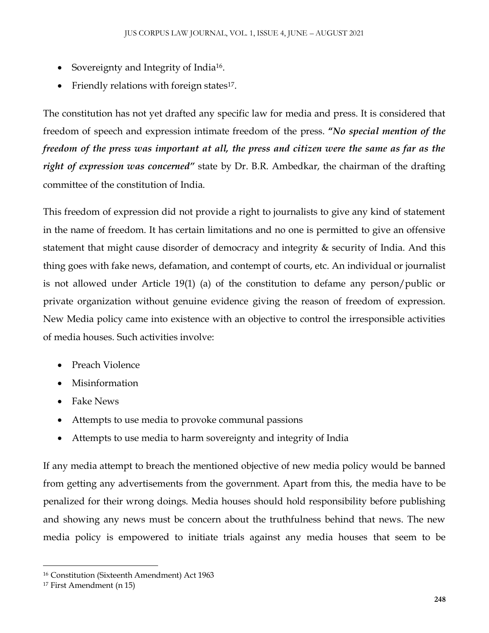- Sovereignty and Integrity of India<sup>16</sup>.
- Friendly relations with foreign states<sup>17</sup>.

The constitution has not yet drafted any specific law for media and press. It is considered that freedom of speech and expression intimate freedom of the press. **"***No special mention of the freedom of the press was important at all, the press and citizen were the same as far as the right of expression was concerned"* state by Dr. B.R. Ambedkar, the chairman of the drafting committee of the constitution of India.

This freedom of expression did not provide a right to journalists to give any kind of statement in the name of freedom. It has certain limitations and no one is permitted to give an offensive statement that might cause disorder of democracy and integrity & security of India. And this thing goes with fake news, defamation, and contempt of courts, etc. An individual or journalist is not allowed under Article 19(1) (a) of the constitution to defame any person/public or private organization without genuine evidence giving the reason of freedom of expression. New Media policy came into existence with an objective to control the irresponsible activities of media houses. Such activities involve:

- Preach Violence
- Misinformation
- Fake News
- Attempts to use media to provoke communal passions
- Attempts to use media to harm sovereignty and integrity of India

If any media attempt to breach the mentioned objective of new media policy would be banned from getting any advertisements from the government. Apart from this, the media have to be penalized for their wrong doings. Media houses should hold responsibility before publishing and showing any news must be concern about the truthfulness behind that news. The new media policy is empowered to initiate trials against any media houses that seem to be

<sup>16</sup> Constitution (Sixteenth Amendment) Act 1963

<sup>17</sup> First Amendment (n 15)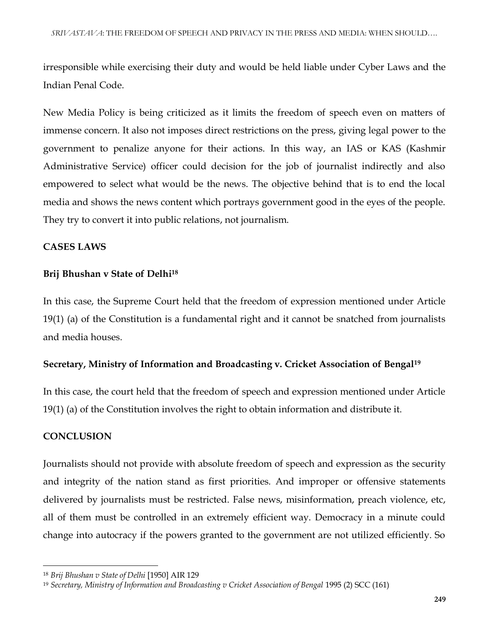irresponsible while exercising their duty and would be held liable under Cyber Laws and the Indian Penal Code.

New Media Policy is being criticized as it limits the freedom of speech even on matters of immense concern. It also not imposes direct restrictions on the press, giving legal power to the government to penalize anyone for their actions. In this way, an IAS or KAS (Kashmir Administrative Service) officer could decision for the job of journalist indirectly and also empowered to select what would be the news. The objective behind that is to end the local media and shows the news content which portrays government good in the eyes of the people. They try to convert it into public relations, not journalism.

# **CASES LAWS**

# **Brij Bhushan v State of Delhi<sup>18</sup>**

In this case, the Supreme Court held that the freedom of expression mentioned under Article 19(1) (a) of the Constitution is a fundamental right and it cannot be snatched from journalists and media houses.

# **Secretary, Ministry of Information and Broadcasting v. Cricket Association of Bengal<sup>19</sup>**

In this case, the court held that the freedom of speech and expression mentioned under Article 19(1) (a) of the Constitution involves the right to obtain information and distribute it.

# **CONCLUSION**

 $\overline{\phantom{a}}$ 

Journalists should not provide with absolute freedom of speech and expression as the security and integrity of the nation stand as first priorities. And improper or offensive statements delivered by journalists must be restricted. False news, misinformation, preach violence, etc, all of them must be controlled in an extremely efficient way. Democracy in a minute could change into autocracy if the powers granted to the government are not utilized efficiently. So

<sup>18</sup> *Brij Bhushan v State of Delhi* [1950] AIR 129

<sup>19</sup> *Secretary, Ministry of Information and Broadcasting v Cricket Association of Bengal* 1995 (2) SCC (161)